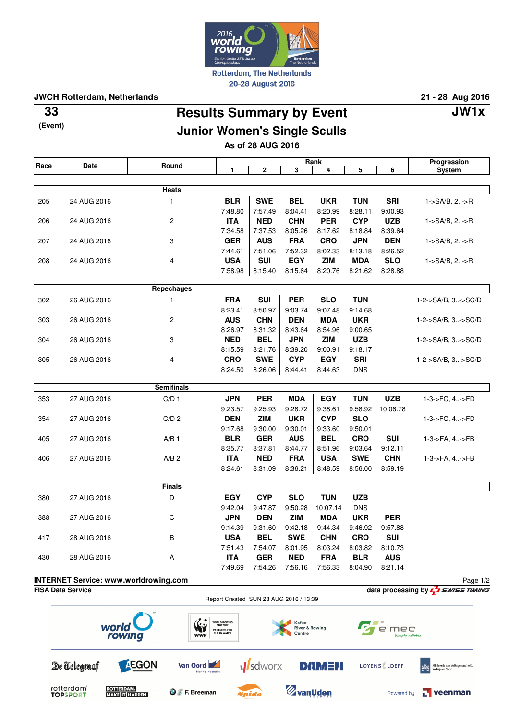

**JWCH Rotterdam, Netherlands 21 - 28 Aug 2016**

**(Event)**

## **Results Summary by Event 33 JW1x**

## **Junior Women's Single Sculls**

**As of 28 AUG 2016**

| 3<br>1<br>2<br>4<br>5<br>6<br><b>System</b><br>Heats<br><b>BLR</b><br><b>SWE</b><br><b>BEL</b><br><b>TUN</b><br><b>SRI</b><br>205<br>24 AUG 2016<br>1<br><b>UKR</b><br>1->SA/B, 2->R<br>7:48.80<br>7:57.49<br>8:04.41<br>8:20.99<br>8:28.11<br>9:00.93<br>$\overline{\mathbf{c}}$<br><b>ITA</b><br><b>NED</b><br><b>CHN</b><br><b>PER</b><br><b>CYP</b><br><b>UZB</b><br>24 AUG 2016<br>1->SA/B, 2->R<br>206<br>7:34.58<br>7:37.53<br>8:39.64<br>8:05.26<br>8:17.62<br>8:18.84<br><b>GER</b><br><b>AUS</b><br><b>FRA</b><br><b>CRO</b><br><b>JPN</b><br><b>DEN</b><br>3<br>207<br>24 AUG 2016<br>1->SA/B, 2->R<br>8:26.52<br>7:44.61<br>7:51.06<br>7:52.32<br>8:02.33<br>8:13.18<br><b>SUI</b><br><b>EGY</b><br><b>SLO</b><br><b>USA</b><br><b>ZIM</b><br><b>MDA</b><br>24 AUG 2016<br>4<br>1->SA/B, 2->R<br>208<br>7:58.98<br>8:15.40<br>8:15.64<br>8:20.76<br>8:21.62<br>8:28.88<br>Repechages<br><b>FRA</b><br><b>SUI</b><br><b>PER</b><br><b>SLO</b><br><b>TUN</b><br>302<br>26 AUG 2016<br>1<br>1-2->SA/B, 3->SC/D<br>8:23.41<br>8:50.97<br>9:03.74<br>9:07.48<br>9:14.68<br><b>AUS</b><br><b>CHN</b><br><b>DEN</b><br><b>UKR</b><br><b>MDA</b><br>303<br>26 AUG 2016<br>2<br>1-2->SA/B, 3->SC/D<br>8:26.97<br>8:31.32<br>8:43.64<br>8:54.96<br>9:00.65<br><b>NED</b><br><b>BEL</b><br><b>JPN</b><br><b>ZIM</b><br><b>UZB</b><br>26 AUG 2016<br>3<br>1-2->SA/B, 3->SC/D<br>304<br>8:15.59<br>8:21.76<br>8:39.20<br>9:00.91<br>9:18.17<br><b>CRO</b><br><b>SWE</b><br><b>CYP</b><br><b>EGY</b><br><b>SRI</b><br>4<br>1-2->SA/B, 3->SC/D<br>305<br>26 AUG 2016<br>8:24.50<br>8:26.06<br>8:44.41<br>8:44.63<br><b>DNS</b><br><b>Semifinals</b><br>C/D <sub>1</sub><br><b>JPN</b><br><b>PER</b><br><b>MDA</b><br><b>EGY</b><br><b>TUN</b><br><b>UZB</b><br>353<br>27 AUG 2016<br>1-3->FC, 4->FD<br>9:23.57<br>9:25.93<br>9:28.72<br>9:38.61<br>9:58.92<br>10:06.78<br><b>DEN</b><br><b>ZIM</b><br><b>UKR</b><br><b>CYP</b><br><b>SLO</b><br>354<br>27 AUG 2016<br>C/D <sub>2</sub><br>1-3->FC, 4->FD<br>9:17.68<br>9:50.01<br>9:30.00<br>9:30.01<br>9:33.60<br><b>BLR</b><br><b>GER</b><br><b>AUS</b><br><b>BEL</b><br><b>CRO</b><br><b>SUI</b><br>405<br>27 AUG 2016<br>A/B <sub>1</sub><br>1-3->FA, 4->FB<br>8:35.77<br>8:37.81<br>8:44.77<br>8:51.96<br>9:03.64<br>9:12.11<br><b>ITA</b><br><b>NED</b><br><b>FRA</b><br><b>SWE</b><br><b>CHN</b><br><b>USA</b><br>27 AUG 2016<br>$A/B$ 2<br>1-3->FA, 4->FB<br>406<br>8:24.61<br>8:31.09<br>8:36.21<br>8:48.59<br>8:56.00<br>8:59.19<br><b>Finals</b><br>D<br><b>EGY</b><br><b>CYP</b><br><b>SLO</b><br><b>TUN</b><br><b>UZB</b><br>380<br>27 AUG 2016<br>9:47.87<br>9:50.28<br>9:42.04<br>10:07.14<br><b>DNS</b><br><b>ZIM</b><br><b>JPN</b><br><b>DEN</b><br><b>MDA</b><br><b>UKR</b><br><b>PER</b><br>С<br>388<br>27 AUG 2016<br>9:31.60<br>9:42.18<br>9:44.34<br>9:46.92<br>9:57.88<br>9:14.39<br><b>USA</b><br><b>BEL</b><br><b>CRO</b><br><b>SWE</b><br><b>CHN</b><br>SUI<br>R<br>417<br>28 AUG 2016<br>8:01.95<br>8:03.24<br>8:03.82<br>7:51.43<br>7:54.07<br>8:10.73<br><b>GER</b><br><b>ITA</b><br><b>NED</b><br><b>FRA</b><br><b>BLR</b><br><b>AUS</b><br>430<br>28 AUG 2016<br>Α<br>7:56.33<br>7:49.69<br>7:54.26<br>7:56.16<br>8:21.14<br>8:04.90<br><b>INTERNET Service: www.worldrowing.com</b><br><b>FISA Data Service</b><br>Report Created SUN 28 AUG 2016 / 13:39<br><b>WORLD ROWING</b><br>AND WWF<br>Kafue<br>Le s<br>world<br><b>River &amp; Rowing</b><br>elmec<br><b>PARTNERS FOR</b><br>CLEAN WATER<br>Centre<br>rowing<br>Simply reliable<br><b>WWF</b><br><b>AEGON</b><br><b>M</b> sdworx<br>De Telegraaf<br><b>DAMEN</b><br>Van Oord<br>LOYENS LOEFF<br>Ministerie van Volksgezondheid,<br>Welzijn en Sport<br>Marine ingenuity<br>rotterdam <sup>®</sup><br><b>ROTTERDAM.</b><br><b>ZvanUden</b> | Race | Date            | Round                        |  | Rank         |  |  |  |            | Progression |
|---------------------------------------------------------------------------------------------------------------------------------------------------------------------------------------------------------------------------------------------------------------------------------------------------------------------------------------------------------------------------------------------------------------------------------------------------------------------------------------------------------------------------------------------------------------------------------------------------------------------------------------------------------------------------------------------------------------------------------------------------------------------------------------------------------------------------------------------------------------------------------------------------------------------------------------------------------------------------------------------------------------------------------------------------------------------------------------------------------------------------------------------------------------------------------------------------------------------------------------------------------------------------------------------------------------------------------------------------------------------------------------------------------------------------------------------------------------------------------------------------------------------------------------------------------------------------------------------------------------------------------------------------------------------------------------------------------------------------------------------------------------------------------------------------------------------------------------------------------------------------------------------------------------------------------------------------------------------------------------------------------------------------------------------------------------------------------------------------------------------------------------------------------------------------------------------------------------------------------------------------------------------------------------------------------------------------------------------------------------------------------------------------------------------------------------------------------------------------------------------------------------------------------------------------------------------------------------------------------------------------------------------------------------------------------------------------------------------------------------------------------------------------------------------------------------------------------------------------------------------------------------------------------------------------------------------------------------------------------------------------------------------------------------------------------------------------------------------------------------------------------------------------------------------------------------------------------------------------------------------------------------------------------------------------------------------------------------------------------------------------------------------------------------------------------------------------------------------------------------------------------------------------------------------------------------------------------------------------------------------------------------------------------------------------------------------------------------------------------------------------------------------------------|------|-----------------|------------------------------|--|--------------|--|--|--|------------|-------------|
|                                                                                                                                                                                                                                                                                                                                                                                                                                                                                                                                                                                                                                                                                                                                                                                                                                                                                                                                                                                                                                                                                                                                                                                                                                                                                                                                                                                                                                                                                                                                                                                                                                                                                                                                                                                                                                                                                                                                                                                                                                                                                                                                                                                                                                                                                                                                                                                                                                                                                                                                                                                                                                                                                                                                                                                                                                                                                                                                                                                                                                                                                                                                                                                                                                                                                                                                                                                                                                                                                                                                                                                                                                                                                                                                                                                 |      |                 |                              |  |              |  |  |  |            |             |
| data processing by $\sqrt{2}$ swiss TIMING                                                                                                                                                                                                                                                                                                                                                                                                                                                                                                                                                                                                                                                                                                                                                                                                                                                                                                                                                                                                                                                                                                                                                                                                                                                                                                                                                                                                                                                                                                                                                                                                                                                                                                                                                                                                                                                                                                                                                                                                                                                                                                                                                                                                                                                                                                                                                                                                                                                                                                                                                                                                                                                                                                                                                                                                                                                                                                                                                                                                                                                                                                                                                                                                                                                                                                                                                                                                                                                                                                                                                                                                                                                                                                                                      |      |                 |                              |  |              |  |  |  |            |             |
|                                                                                                                                                                                                                                                                                                                                                                                                                                                                                                                                                                                                                                                                                                                                                                                                                                                                                                                                                                                                                                                                                                                                                                                                                                                                                                                                                                                                                                                                                                                                                                                                                                                                                                                                                                                                                                                                                                                                                                                                                                                                                                                                                                                                                                                                                                                                                                                                                                                                                                                                                                                                                                                                                                                                                                                                                                                                                                                                                                                                                                                                                                                                                                                                                                                                                                                                                                                                                                                                                                                                                                                                                                                                                                                                                                                 |      |                 |                              |  |              |  |  |  |            |             |
| Page 1/2                                                                                                                                                                                                                                                                                                                                                                                                                                                                                                                                                                                                                                                                                                                                                                                                                                                                                                                                                                                                                                                                                                                                                                                                                                                                                                                                                                                                                                                                                                                                                                                                                                                                                                                                                                                                                                                                                                                                                                                                                                                                                                                                                                                                                                                                                                                                                                                                                                                                                                                                                                                                                                                                                                                                                                                                                                                                                                                                                                                                                                                                                                                                                                                                                                                                                                                                                                                                                                                                                                                                                                                                                                                                                                                                                                        |      |                 |                              |  |              |  |  |  |            |             |
|                                                                                                                                                                                                                                                                                                                                                                                                                                                                                                                                                                                                                                                                                                                                                                                                                                                                                                                                                                                                                                                                                                                                                                                                                                                                                                                                                                                                                                                                                                                                                                                                                                                                                                                                                                                                                                                                                                                                                                                                                                                                                                                                                                                                                                                                                                                                                                                                                                                                                                                                                                                                                                                                                                                                                                                                                                                                                                                                                                                                                                                                                                                                                                                                                                                                                                                                                                                                                                                                                                                                                                                                                                                                                                                                                                                 |      |                 |                              |  |              |  |  |  |            |             |
|                                                                                                                                                                                                                                                                                                                                                                                                                                                                                                                                                                                                                                                                                                                                                                                                                                                                                                                                                                                                                                                                                                                                                                                                                                                                                                                                                                                                                                                                                                                                                                                                                                                                                                                                                                                                                                                                                                                                                                                                                                                                                                                                                                                                                                                                                                                                                                                                                                                                                                                                                                                                                                                                                                                                                                                                                                                                                                                                                                                                                                                                                                                                                                                                                                                                                                                                                                                                                                                                                                                                                                                                                                                                                                                                                                                 |      |                 |                              |  |              |  |  |  |            |             |
|                                                                                                                                                                                                                                                                                                                                                                                                                                                                                                                                                                                                                                                                                                                                                                                                                                                                                                                                                                                                                                                                                                                                                                                                                                                                                                                                                                                                                                                                                                                                                                                                                                                                                                                                                                                                                                                                                                                                                                                                                                                                                                                                                                                                                                                                                                                                                                                                                                                                                                                                                                                                                                                                                                                                                                                                                                                                                                                                                                                                                                                                                                                                                                                                                                                                                                                                                                                                                                                                                                                                                                                                                                                                                                                                                                                 |      |                 |                              |  |              |  |  |  |            |             |
|                                                                                                                                                                                                                                                                                                                                                                                                                                                                                                                                                                                                                                                                                                                                                                                                                                                                                                                                                                                                                                                                                                                                                                                                                                                                                                                                                                                                                                                                                                                                                                                                                                                                                                                                                                                                                                                                                                                                                                                                                                                                                                                                                                                                                                                                                                                                                                                                                                                                                                                                                                                                                                                                                                                                                                                                                                                                                                                                                                                                                                                                                                                                                                                                                                                                                                                                                                                                                                                                                                                                                                                                                                                                                                                                                                                 |      |                 |                              |  |              |  |  |  |            |             |
|                                                                                                                                                                                                                                                                                                                                                                                                                                                                                                                                                                                                                                                                                                                                                                                                                                                                                                                                                                                                                                                                                                                                                                                                                                                                                                                                                                                                                                                                                                                                                                                                                                                                                                                                                                                                                                                                                                                                                                                                                                                                                                                                                                                                                                                                                                                                                                                                                                                                                                                                                                                                                                                                                                                                                                                                                                                                                                                                                                                                                                                                                                                                                                                                                                                                                                                                                                                                                                                                                                                                                                                                                                                                                                                                                                                 |      |                 |                              |  |              |  |  |  |            |             |
|                                                                                                                                                                                                                                                                                                                                                                                                                                                                                                                                                                                                                                                                                                                                                                                                                                                                                                                                                                                                                                                                                                                                                                                                                                                                                                                                                                                                                                                                                                                                                                                                                                                                                                                                                                                                                                                                                                                                                                                                                                                                                                                                                                                                                                                                                                                                                                                                                                                                                                                                                                                                                                                                                                                                                                                                                                                                                                                                                                                                                                                                                                                                                                                                                                                                                                                                                                                                                                                                                                                                                                                                                                                                                                                                                                                 |      |                 |                              |  |              |  |  |  |            |             |
|                                                                                                                                                                                                                                                                                                                                                                                                                                                                                                                                                                                                                                                                                                                                                                                                                                                                                                                                                                                                                                                                                                                                                                                                                                                                                                                                                                                                                                                                                                                                                                                                                                                                                                                                                                                                                                                                                                                                                                                                                                                                                                                                                                                                                                                                                                                                                                                                                                                                                                                                                                                                                                                                                                                                                                                                                                                                                                                                                                                                                                                                                                                                                                                                                                                                                                                                                                                                                                                                                                                                                                                                                                                                                                                                                                                 |      |                 |                              |  |              |  |  |  |            |             |
|                                                                                                                                                                                                                                                                                                                                                                                                                                                                                                                                                                                                                                                                                                                                                                                                                                                                                                                                                                                                                                                                                                                                                                                                                                                                                                                                                                                                                                                                                                                                                                                                                                                                                                                                                                                                                                                                                                                                                                                                                                                                                                                                                                                                                                                                                                                                                                                                                                                                                                                                                                                                                                                                                                                                                                                                                                                                                                                                                                                                                                                                                                                                                                                                                                                                                                                                                                                                                                                                                                                                                                                                                                                                                                                                                                                 |      |                 |                              |  |              |  |  |  |            |             |
|                                                                                                                                                                                                                                                                                                                                                                                                                                                                                                                                                                                                                                                                                                                                                                                                                                                                                                                                                                                                                                                                                                                                                                                                                                                                                                                                                                                                                                                                                                                                                                                                                                                                                                                                                                                                                                                                                                                                                                                                                                                                                                                                                                                                                                                                                                                                                                                                                                                                                                                                                                                                                                                                                                                                                                                                                                                                                                                                                                                                                                                                                                                                                                                                                                                                                                                                                                                                                                                                                                                                                                                                                                                                                                                                                                                 |      |                 |                              |  |              |  |  |  |            |             |
|                                                                                                                                                                                                                                                                                                                                                                                                                                                                                                                                                                                                                                                                                                                                                                                                                                                                                                                                                                                                                                                                                                                                                                                                                                                                                                                                                                                                                                                                                                                                                                                                                                                                                                                                                                                                                                                                                                                                                                                                                                                                                                                                                                                                                                                                                                                                                                                                                                                                                                                                                                                                                                                                                                                                                                                                                                                                                                                                                                                                                                                                                                                                                                                                                                                                                                                                                                                                                                                                                                                                                                                                                                                                                                                                                                                 |      |                 |                              |  |              |  |  |  |            |             |
|                                                                                                                                                                                                                                                                                                                                                                                                                                                                                                                                                                                                                                                                                                                                                                                                                                                                                                                                                                                                                                                                                                                                                                                                                                                                                                                                                                                                                                                                                                                                                                                                                                                                                                                                                                                                                                                                                                                                                                                                                                                                                                                                                                                                                                                                                                                                                                                                                                                                                                                                                                                                                                                                                                                                                                                                                                                                                                                                                                                                                                                                                                                                                                                                                                                                                                                                                                                                                                                                                                                                                                                                                                                                                                                                                                                 |      |                 |                              |  |              |  |  |  |            |             |
|                                                                                                                                                                                                                                                                                                                                                                                                                                                                                                                                                                                                                                                                                                                                                                                                                                                                                                                                                                                                                                                                                                                                                                                                                                                                                                                                                                                                                                                                                                                                                                                                                                                                                                                                                                                                                                                                                                                                                                                                                                                                                                                                                                                                                                                                                                                                                                                                                                                                                                                                                                                                                                                                                                                                                                                                                                                                                                                                                                                                                                                                                                                                                                                                                                                                                                                                                                                                                                                                                                                                                                                                                                                                                                                                                                                 |      |                 |                              |  |              |  |  |  |            |             |
|                                                                                                                                                                                                                                                                                                                                                                                                                                                                                                                                                                                                                                                                                                                                                                                                                                                                                                                                                                                                                                                                                                                                                                                                                                                                                                                                                                                                                                                                                                                                                                                                                                                                                                                                                                                                                                                                                                                                                                                                                                                                                                                                                                                                                                                                                                                                                                                                                                                                                                                                                                                                                                                                                                                                                                                                                                                                                                                                                                                                                                                                                                                                                                                                                                                                                                                                                                                                                                                                                                                                                                                                                                                                                                                                                                                 |      |                 |                              |  |              |  |  |  |            |             |
|                                                                                                                                                                                                                                                                                                                                                                                                                                                                                                                                                                                                                                                                                                                                                                                                                                                                                                                                                                                                                                                                                                                                                                                                                                                                                                                                                                                                                                                                                                                                                                                                                                                                                                                                                                                                                                                                                                                                                                                                                                                                                                                                                                                                                                                                                                                                                                                                                                                                                                                                                                                                                                                                                                                                                                                                                                                                                                                                                                                                                                                                                                                                                                                                                                                                                                                                                                                                                                                                                                                                                                                                                                                                                                                                                                                 |      |                 |                              |  |              |  |  |  |            |             |
|                                                                                                                                                                                                                                                                                                                                                                                                                                                                                                                                                                                                                                                                                                                                                                                                                                                                                                                                                                                                                                                                                                                                                                                                                                                                                                                                                                                                                                                                                                                                                                                                                                                                                                                                                                                                                                                                                                                                                                                                                                                                                                                                                                                                                                                                                                                                                                                                                                                                                                                                                                                                                                                                                                                                                                                                                                                                                                                                                                                                                                                                                                                                                                                                                                                                                                                                                                                                                                                                                                                                                                                                                                                                                                                                                                                 |      |                 |                              |  |              |  |  |  |            |             |
|                                                                                                                                                                                                                                                                                                                                                                                                                                                                                                                                                                                                                                                                                                                                                                                                                                                                                                                                                                                                                                                                                                                                                                                                                                                                                                                                                                                                                                                                                                                                                                                                                                                                                                                                                                                                                                                                                                                                                                                                                                                                                                                                                                                                                                                                                                                                                                                                                                                                                                                                                                                                                                                                                                                                                                                                                                                                                                                                                                                                                                                                                                                                                                                                                                                                                                                                                                                                                                                                                                                                                                                                                                                                                                                                                                                 |      |                 |                              |  |              |  |  |  |            |             |
|                                                                                                                                                                                                                                                                                                                                                                                                                                                                                                                                                                                                                                                                                                                                                                                                                                                                                                                                                                                                                                                                                                                                                                                                                                                                                                                                                                                                                                                                                                                                                                                                                                                                                                                                                                                                                                                                                                                                                                                                                                                                                                                                                                                                                                                                                                                                                                                                                                                                                                                                                                                                                                                                                                                                                                                                                                                                                                                                                                                                                                                                                                                                                                                                                                                                                                                                                                                                                                                                                                                                                                                                                                                                                                                                                                                 |      |                 |                              |  |              |  |  |  |            |             |
|                                                                                                                                                                                                                                                                                                                                                                                                                                                                                                                                                                                                                                                                                                                                                                                                                                                                                                                                                                                                                                                                                                                                                                                                                                                                                                                                                                                                                                                                                                                                                                                                                                                                                                                                                                                                                                                                                                                                                                                                                                                                                                                                                                                                                                                                                                                                                                                                                                                                                                                                                                                                                                                                                                                                                                                                                                                                                                                                                                                                                                                                                                                                                                                                                                                                                                                                                                                                                                                                                                                                                                                                                                                                                                                                                                                 |      |                 |                              |  |              |  |  |  |            |             |
|                                                                                                                                                                                                                                                                                                                                                                                                                                                                                                                                                                                                                                                                                                                                                                                                                                                                                                                                                                                                                                                                                                                                                                                                                                                                                                                                                                                                                                                                                                                                                                                                                                                                                                                                                                                                                                                                                                                                                                                                                                                                                                                                                                                                                                                                                                                                                                                                                                                                                                                                                                                                                                                                                                                                                                                                                                                                                                                                                                                                                                                                                                                                                                                                                                                                                                                                                                                                                                                                                                                                                                                                                                                                                                                                                                                 |      |                 |                              |  |              |  |  |  |            |             |
|                                                                                                                                                                                                                                                                                                                                                                                                                                                                                                                                                                                                                                                                                                                                                                                                                                                                                                                                                                                                                                                                                                                                                                                                                                                                                                                                                                                                                                                                                                                                                                                                                                                                                                                                                                                                                                                                                                                                                                                                                                                                                                                                                                                                                                                                                                                                                                                                                                                                                                                                                                                                                                                                                                                                                                                                                                                                                                                                                                                                                                                                                                                                                                                                                                                                                                                                                                                                                                                                                                                                                                                                                                                                                                                                                                                 |      |                 |                              |  |              |  |  |  |            |             |
|                                                                                                                                                                                                                                                                                                                                                                                                                                                                                                                                                                                                                                                                                                                                                                                                                                                                                                                                                                                                                                                                                                                                                                                                                                                                                                                                                                                                                                                                                                                                                                                                                                                                                                                                                                                                                                                                                                                                                                                                                                                                                                                                                                                                                                                                                                                                                                                                                                                                                                                                                                                                                                                                                                                                                                                                                                                                                                                                                                                                                                                                                                                                                                                                                                                                                                                                                                                                                                                                                                                                                                                                                                                                                                                                                                                 |      |                 |                              |  |              |  |  |  |            |             |
|                                                                                                                                                                                                                                                                                                                                                                                                                                                                                                                                                                                                                                                                                                                                                                                                                                                                                                                                                                                                                                                                                                                                                                                                                                                                                                                                                                                                                                                                                                                                                                                                                                                                                                                                                                                                                                                                                                                                                                                                                                                                                                                                                                                                                                                                                                                                                                                                                                                                                                                                                                                                                                                                                                                                                                                                                                                                                                                                                                                                                                                                                                                                                                                                                                                                                                                                                                                                                                                                                                                                                                                                                                                                                                                                                                                 |      |                 |                              |  |              |  |  |  |            |             |
|                                                                                                                                                                                                                                                                                                                                                                                                                                                                                                                                                                                                                                                                                                                                                                                                                                                                                                                                                                                                                                                                                                                                                                                                                                                                                                                                                                                                                                                                                                                                                                                                                                                                                                                                                                                                                                                                                                                                                                                                                                                                                                                                                                                                                                                                                                                                                                                                                                                                                                                                                                                                                                                                                                                                                                                                                                                                                                                                                                                                                                                                                                                                                                                                                                                                                                                                                                                                                                                                                                                                                                                                                                                                                                                                                                                 |      |                 |                              |  |              |  |  |  |            |             |
|                                                                                                                                                                                                                                                                                                                                                                                                                                                                                                                                                                                                                                                                                                                                                                                                                                                                                                                                                                                                                                                                                                                                                                                                                                                                                                                                                                                                                                                                                                                                                                                                                                                                                                                                                                                                                                                                                                                                                                                                                                                                                                                                                                                                                                                                                                                                                                                                                                                                                                                                                                                                                                                                                                                                                                                                                                                                                                                                                                                                                                                                                                                                                                                                                                                                                                                                                                                                                                                                                                                                                                                                                                                                                                                                                                                 |      |                 |                              |  |              |  |  |  |            |             |
|                                                                                                                                                                                                                                                                                                                                                                                                                                                                                                                                                                                                                                                                                                                                                                                                                                                                                                                                                                                                                                                                                                                                                                                                                                                                                                                                                                                                                                                                                                                                                                                                                                                                                                                                                                                                                                                                                                                                                                                                                                                                                                                                                                                                                                                                                                                                                                                                                                                                                                                                                                                                                                                                                                                                                                                                                                                                                                                                                                                                                                                                                                                                                                                                                                                                                                                                                                                                                                                                                                                                                                                                                                                                                                                                                                                 |      |                 |                              |  |              |  |  |  |            |             |
|                                                                                                                                                                                                                                                                                                                                                                                                                                                                                                                                                                                                                                                                                                                                                                                                                                                                                                                                                                                                                                                                                                                                                                                                                                                                                                                                                                                                                                                                                                                                                                                                                                                                                                                                                                                                                                                                                                                                                                                                                                                                                                                                                                                                                                                                                                                                                                                                                                                                                                                                                                                                                                                                                                                                                                                                                                                                                                                                                                                                                                                                                                                                                                                                                                                                                                                                                                                                                                                                                                                                                                                                                                                                                                                                                                                 |      |                 |                              |  |              |  |  |  |            |             |
|                                                                                                                                                                                                                                                                                                                                                                                                                                                                                                                                                                                                                                                                                                                                                                                                                                                                                                                                                                                                                                                                                                                                                                                                                                                                                                                                                                                                                                                                                                                                                                                                                                                                                                                                                                                                                                                                                                                                                                                                                                                                                                                                                                                                                                                                                                                                                                                                                                                                                                                                                                                                                                                                                                                                                                                                                                                                                                                                                                                                                                                                                                                                                                                                                                                                                                                                                                                                                                                                                                                                                                                                                                                                                                                                                                                 |      |                 |                              |  |              |  |  |  |            |             |
|                                                                                                                                                                                                                                                                                                                                                                                                                                                                                                                                                                                                                                                                                                                                                                                                                                                                                                                                                                                                                                                                                                                                                                                                                                                                                                                                                                                                                                                                                                                                                                                                                                                                                                                                                                                                                                                                                                                                                                                                                                                                                                                                                                                                                                                                                                                                                                                                                                                                                                                                                                                                                                                                                                                                                                                                                                                                                                                                                                                                                                                                                                                                                                                                                                                                                                                                                                                                                                                                                                                                                                                                                                                                                                                                                                                 |      |                 |                              |  |              |  |  |  |            |             |
|                                                                                                                                                                                                                                                                                                                                                                                                                                                                                                                                                                                                                                                                                                                                                                                                                                                                                                                                                                                                                                                                                                                                                                                                                                                                                                                                                                                                                                                                                                                                                                                                                                                                                                                                                                                                                                                                                                                                                                                                                                                                                                                                                                                                                                                                                                                                                                                                                                                                                                                                                                                                                                                                                                                                                                                                                                                                                                                                                                                                                                                                                                                                                                                                                                                                                                                                                                                                                                                                                                                                                                                                                                                                                                                                                                                 |      |                 |                              |  |              |  |  |  |            |             |
|                                                                                                                                                                                                                                                                                                                                                                                                                                                                                                                                                                                                                                                                                                                                                                                                                                                                                                                                                                                                                                                                                                                                                                                                                                                                                                                                                                                                                                                                                                                                                                                                                                                                                                                                                                                                                                                                                                                                                                                                                                                                                                                                                                                                                                                                                                                                                                                                                                                                                                                                                                                                                                                                                                                                                                                                                                                                                                                                                                                                                                                                                                                                                                                                                                                                                                                                                                                                                                                                                                                                                                                                                                                                                                                                                                                 |      |                 |                              |  |              |  |  |  |            |             |
|                                                                                                                                                                                                                                                                                                                                                                                                                                                                                                                                                                                                                                                                                                                                                                                                                                                                                                                                                                                                                                                                                                                                                                                                                                                                                                                                                                                                                                                                                                                                                                                                                                                                                                                                                                                                                                                                                                                                                                                                                                                                                                                                                                                                                                                                                                                                                                                                                                                                                                                                                                                                                                                                                                                                                                                                                                                                                                                                                                                                                                                                                                                                                                                                                                                                                                                                                                                                                                                                                                                                                                                                                                                                                                                                                                                 |      |                 |                              |  |              |  |  |  |            |             |
|                                                                                                                                                                                                                                                                                                                                                                                                                                                                                                                                                                                                                                                                                                                                                                                                                                                                                                                                                                                                                                                                                                                                                                                                                                                                                                                                                                                                                                                                                                                                                                                                                                                                                                                                                                                                                                                                                                                                                                                                                                                                                                                                                                                                                                                                                                                                                                                                                                                                                                                                                                                                                                                                                                                                                                                                                                                                                                                                                                                                                                                                                                                                                                                                                                                                                                                                                                                                                                                                                                                                                                                                                                                                                                                                                                                 |      |                 |                              |  |              |  |  |  |            |             |
|                                                                                                                                                                                                                                                                                                                                                                                                                                                                                                                                                                                                                                                                                                                                                                                                                                                                                                                                                                                                                                                                                                                                                                                                                                                                                                                                                                                                                                                                                                                                                                                                                                                                                                                                                                                                                                                                                                                                                                                                                                                                                                                                                                                                                                                                                                                                                                                                                                                                                                                                                                                                                                                                                                                                                                                                                                                                                                                                                                                                                                                                                                                                                                                                                                                                                                                                                                                                                                                                                                                                                                                                                                                                                                                                                                                 |      |                 |                              |  |              |  |  |  |            |             |
|                                                                                                                                                                                                                                                                                                                                                                                                                                                                                                                                                                                                                                                                                                                                                                                                                                                                                                                                                                                                                                                                                                                                                                                                                                                                                                                                                                                                                                                                                                                                                                                                                                                                                                                                                                                                                                                                                                                                                                                                                                                                                                                                                                                                                                                                                                                                                                                                                                                                                                                                                                                                                                                                                                                                                                                                                                                                                                                                                                                                                                                                                                                                                                                                                                                                                                                                                                                                                                                                                                                                                                                                                                                                                                                                                                                 |      |                 |                              |  |              |  |  |  |            |             |
|                                                                                                                                                                                                                                                                                                                                                                                                                                                                                                                                                                                                                                                                                                                                                                                                                                                                                                                                                                                                                                                                                                                                                                                                                                                                                                                                                                                                                                                                                                                                                                                                                                                                                                                                                                                                                                                                                                                                                                                                                                                                                                                                                                                                                                                                                                                                                                                                                                                                                                                                                                                                                                                                                                                                                                                                                                                                                                                                                                                                                                                                                                                                                                                                                                                                                                                                                                                                                                                                                                                                                                                                                                                                                                                                                                                 |      |                 |                              |  |              |  |  |  |            |             |
|                                                                                                                                                                                                                                                                                                                                                                                                                                                                                                                                                                                                                                                                                                                                                                                                                                                                                                                                                                                                                                                                                                                                                                                                                                                                                                                                                                                                                                                                                                                                                                                                                                                                                                                                                                                                                                                                                                                                                                                                                                                                                                                                                                                                                                                                                                                                                                                                                                                                                                                                                                                                                                                                                                                                                                                                                                                                                                                                                                                                                                                                                                                                                                                                                                                                                                                                                                                                                                                                                                                                                                                                                                                                                                                                                                                 |      |                 |                              |  |              |  |  |  |            |             |
|                                                                                                                                                                                                                                                                                                                                                                                                                                                                                                                                                                                                                                                                                                                                                                                                                                                                                                                                                                                                                                                                                                                                                                                                                                                                                                                                                                                                                                                                                                                                                                                                                                                                                                                                                                                                                                                                                                                                                                                                                                                                                                                                                                                                                                                                                                                                                                                                                                                                                                                                                                                                                                                                                                                                                                                                                                                                                                                                                                                                                                                                                                                                                                                                                                                                                                                                                                                                                                                                                                                                                                                                                                                                                                                                                                                 |      |                 |                              |  |              |  |  |  |            |             |
|                                                                                                                                                                                                                                                                                                                                                                                                                                                                                                                                                                                                                                                                                                                                                                                                                                                                                                                                                                                                                                                                                                                                                                                                                                                                                                                                                                                                                                                                                                                                                                                                                                                                                                                                                                                                                                                                                                                                                                                                                                                                                                                                                                                                                                                                                                                                                                                                                                                                                                                                                                                                                                                                                                                                                                                                                                                                                                                                                                                                                                                                                                                                                                                                                                                                                                                                                                                                                                                                                                                                                                                                                                                                                                                                                                                 |      |                 |                              |  |              |  |  |  |            |             |
|                                                                                                                                                                                                                                                                                                                                                                                                                                                                                                                                                                                                                                                                                                                                                                                                                                                                                                                                                                                                                                                                                                                                                                                                                                                                                                                                                                                                                                                                                                                                                                                                                                                                                                                                                                                                                                                                                                                                                                                                                                                                                                                                                                                                                                                                                                                                                                                                                                                                                                                                                                                                                                                                                                                                                                                                                                                                                                                                                                                                                                                                                                                                                                                                                                                                                                                                                                                                                                                                                                                                                                                                                                                                                                                                                                                 |      |                 |                              |  |              |  |  |  |            |             |
|                                                                                                                                                                                                                                                                                                                                                                                                                                                                                                                                                                                                                                                                                                                                                                                                                                                                                                                                                                                                                                                                                                                                                                                                                                                                                                                                                                                                                                                                                                                                                                                                                                                                                                                                                                                                                                                                                                                                                                                                                                                                                                                                                                                                                                                                                                                                                                                                                                                                                                                                                                                                                                                                                                                                                                                                                                                                                                                                                                                                                                                                                                                                                                                                                                                                                                                                                                                                                                                                                                                                                                                                                                                                                                                                                                                 |      |                 |                              |  |              |  |  |  |            |             |
|                                                                                                                                                                                                                                                                                                                                                                                                                                                                                                                                                                                                                                                                                                                                                                                                                                                                                                                                                                                                                                                                                                                                                                                                                                                                                                                                                                                                                                                                                                                                                                                                                                                                                                                                                                                                                                                                                                                                                                                                                                                                                                                                                                                                                                                                                                                                                                                                                                                                                                                                                                                                                                                                                                                                                                                                                                                                                                                                                                                                                                                                                                                                                                                                                                                                                                                                                                                                                                                                                                                                                                                                                                                                                                                                                                                 |      |                 |                              |  |              |  |  |  |            |             |
|                                                                                                                                                                                                                                                                                                                                                                                                                                                                                                                                                                                                                                                                                                                                                                                                                                                                                                                                                                                                                                                                                                                                                                                                                                                                                                                                                                                                                                                                                                                                                                                                                                                                                                                                                                                                                                                                                                                                                                                                                                                                                                                                                                                                                                                                                                                                                                                                                                                                                                                                                                                                                                                                                                                                                                                                                                                                                                                                                                                                                                                                                                                                                                                                                                                                                                                                                                                                                                                                                                                                                                                                                                                                                                                                                                                 |      |                 |                              |  |              |  |  |  |            |             |
|                                                                                                                                                                                                                                                                                                                                                                                                                                                                                                                                                                                                                                                                                                                                                                                                                                                                                                                                                                                                                                                                                                                                                                                                                                                                                                                                                                                                                                                                                                                                                                                                                                                                                                                                                                                                                                                                                                                                                                                                                                                                                                                                                                                                                                                                                                                                                                                                                                                                                                                                                                                                                                                                                                                                                                                                                                                                                                                                                                                                                                                                                                                                                                                                                                                                                                                                                                                                                                                                                                                                                                                                                                                                                                                                                                                 |      |                 |                              |  |              |  |  |  |            |             |
| <b>MAKE IT HAPPEN.</b>                                                                                                                                                                                                                                                                                                                                                                                                                                                                                                                                                                                                                                                                                                                                                                                                                                                                                                                                                                                                                                                                                                                                                                                                                                                                                                                                                                                                                                                                                                                                                                                                                                                                                                                                                                                                                                                                                                                                                                                                                                                                                                                                                                                                                                                                                                                                                                                                                                                                                                                                                                                                                                                                                                                                                                                                                                                                                                                                                                                                                                                                                                                                                                                                                                                                                                                                                                                                                                                                                                                                                                                                                                                                                                                                                          |      | <b>TOPSPORT</b> | <b>O</b> <i>[</i> F. Breeman |  | <b>Spido</b> |  |  |  | Powered by | veenman     |